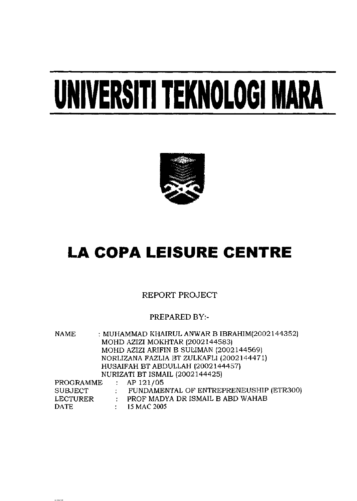# **UNIVERSITI TEKNOLOGI MARA**



### **LA COPA LEISURE CENTRE**

REPORT PROJECT

### PREPARED BY:-

NAME : MUHAMMAD KHAIRUL ANWAR B IBRAHIM(2002144352) MOHD AZIZI MOKHTAR (2002144583) MOHD AZIZI ARIFIN B SULIMAN (2002144569) NORLIZANA FAZLIA BT ZULKAFLl (2002144471) HUSAIFAH BT ABDULLAH (2002144457) NURIZATI BT ISMAIL (2002144425) PROGRAMME : AP 121/05

SUBJECT : FUNDAMENTAL OF ENTREPRENEUSHIP (ETR300) LECTURER : PROF MADYA DR ISMAIL B ABD WAHAB DATE : 15 MAC 2005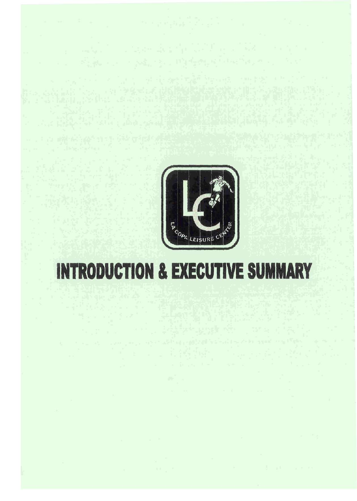

## **INTRODUCTION & EXECUTIVE SUMMARY**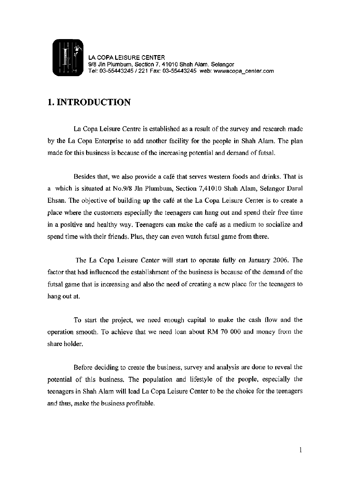

LA COPA LEISURE CENTER 9/8 Jin Plumbum, Section 7, 41010 Shah Alam, Selangor Tel: 03-55443245/221 Fax: 03-55443245 web: [wwwacopa\\_center.com](http://wwwacopa_center.com)

### **1. INTRODUCTION**

La Copa Leisure Centre is established as a result of the survey and research made by the La Copa Enterprise to add another facility for the people in Shah Alam. The plan made for this business is because of the increasing potential and demand of futsal.

Besides that, we also provide a cafe that serves western foods and drinks. That is a which is situated at No.9/8 Jin Plumbum, Section 7,41010 Shah Alam, Selangor Darul Ehsan. The objective of building up the cafe at the La Copa Leisure Center is to create a place where the customers especially the teenagers can hang out and spend their free time in a positive and healthy way. Teenagers can make the cafe as a medium to socialize and spend time with their friends. Plus, they can even watch futsal game from there.

The La Copa Leisure Center will start to operate fully on January 2006. The factor that had influenced the establishment of the business is because of the demand of the futsal game that is increasing and also the need of creating a new place for the teenagers to hang out at.

To start the project, we need enough capital to make the cash flow and the operation smooth. To achieve that we need loan about RM 70 000 and money from the share holder.

Before deciding to create the business, survey and analysis are done to reveal the potential of this business. The population and lifestyle of the people, especially the teenagers in Shah Alam will lead La Copa Leisure Center to be the choice for the teenagers and thus, make the business profitable.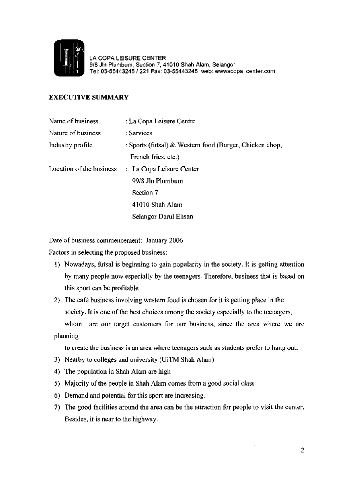

LA COPA LEISURE CENTER 9/8 Jin Plumbum, Section 7, 41010 Shah Alam, Selangor Tel: 03-55443245/221 Fax: 03-55443245 web: [wwwacopa\\_center.com](http://wwwacopa_center.com)

#### **EXECUTIVE SUMMARY**

| Name of business         | : La Copa Leisure Centre                                |
|--------------------------|---------------------------------------------------------|
| Nature of business       | : Services                                              |
| Industry profile         | : Sports (futsal) & Western food (Burger, Chicken chop, |
|                          | French fries, etc.)                                     |
| Location of the business | : La Copa Leisure Center                                |
|                          | 99/8 Jln Plumbum                                        |
|                          | Section 7                                               |
|                          | 41010 Shah Alam                                         |
|                          | Selangor Darul Ehsan                                    |

Date of business commencement: January 2006

Factors in selecting the proposed business:

- 1) Nowadays, futsal is beginning to gain popularity in the society. It is getting attention by many people now especially by the teenagers. Therefore, business that is based on this sport can be profitable
- 2) The cafe business involving western food is chosen for it is getting place in the society. It is one of the best choices among the society especially to the teenagers, whom are our target customers for our business, since the area where we are planning

to create the business is an area where teenagers such as students prefer to hang out.

- 3) Nearby to colleges and university (UiTM Shah Alam)
- 4) The population in Shah Alam are high
- 5) Majority of the people in Shah Alam comes from a good social class
- 6) Demand and potential for this sport are increasing.
- 7) The good facilities around the area can be the attraction for people to visit the center. Besides, it is near to the highway.